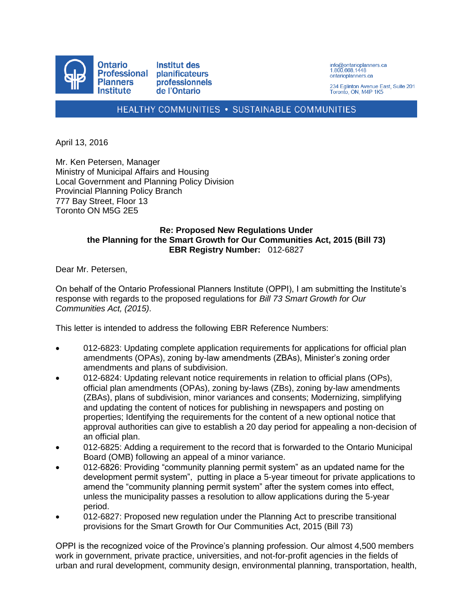

info@ontarioplanners.ca<br>1.800.668.1448 ontarioplanners.ca

234 Eglinton Avenue East, Suite 201 Toronto, ON, M4P 1K5

HEALTHY COMMUNITIES . SUSTAINABLE COMMUNITIES

April 13, 2016

Mr. Ken Petersen, Manager Ministry of Municipal Affairs and Housing Local Government and Planning Policy Division Provincial Planning Policy Branch 777 Bay Street, Floor 13 Toronto ON M5G 2E5

#### **Re: Proposed New Regulations Under the Planning for the Smart Growth for Our Communities Act, 2015 (Bill 73) EBR Registry Number:** 012-6827

Dear Mr. Petersen,

On behalf of the Ontario Professional Planners Institute (OPPI), I am submitting the Institute's response with regards to the proposed regulations for *Bill 73 Smart Growth for Our Communities Act, (2015)*.

This letter is intended to address the following EBR Reference Numbers:

- 012-6823: Updating complete application requirements for applications for official plan amendments (OPAs), zoning by-law amendments (ZBAs), Minister's zoning order amendments and plans of subdivision.
- 012-6824: Updating relevant notice requirements in relation to official plans (OPs), official plan amendments (OPAs), zoning by-laws (ZBs), zoning by-law amendments (ZBAs), plans of subdivision, minor variances and consents; Modernizing, simplifying and updating the content of notices for publishing in newspapers and posting on properties; Identifying the requirements for the content of a new optional notice that approval authorities can give to establish a 20 day period for appealing a non-decision of an official plan.
- 012-6825: Adding a requirement to the record that is forwarded to the Ontario Municipal Board (OMB) following an appeal of a minor variance.
- 012-6826: Providing "community planning permit system" as an updated name for the development permit system", putting in place a 5-year timeout for private applications to amend the "community planning permit system" after the system comes into effect, unless the municipality passes a resolution to allow applications during the 5-year period.
- 012-6827: Proposed new regulation under the Planning Act to prescribe transitional provisions for the Smart Growth for Our Communities Act, 2015 (Bill 73)

OPPI is the recognized voice of the Province's planning profession. Our almost 4,500 members work in government, private practice, universities, and not-for-profit agencies in the fields of urban and rural development, community design, environmental planning, transportation, health,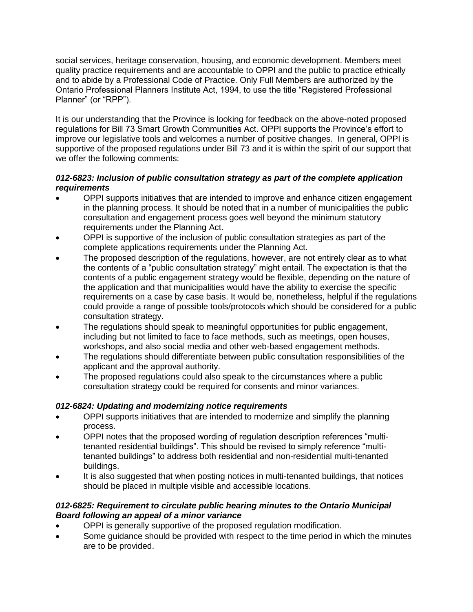social services, heritage conservation, housing, and economic development. Members meet quality practice requirements and are accountable to OPPI and the public to practice ethically and to abide by a Professional Code of Practice. Only Full Members are authorized by the Ontario Professional Planners Institute Act, 1994, to use the title "Registered Professional Planner" (or "RPP").

It is our understanding that the Province is looking for feedback on the above-noted proposed regulations for Bill 73 Smart Growth Communities Act. OPPI supports the Province's effort to improve our legislative tools and welcomes a number of positive changes. In general, OPPI is supportive of the proposed regulations under Bill 73 and it is within the spirit of our support that we offer the following comments:

### *012-6823: Inclusion of public consultation strategy as part of the complete application requirements*

- OPPI supports initiatives that are intended to improve and enhance citizen engagement in the planning process. It should be noted that in a number of municipalities the public consultation and engagement process goes well beyond the minimum statutory requirements under the Planning Act.
- OPPI is supportive of the inclusion of public consultation strategies as part of the complete applications requirements under the Planning Act.
- The proposed description of the regulations, however, are not entirely clear as to what the contents of a "public consultation strategy" might entail. The expectation is that the contents of a public engagement strategy would be flexible, depending on the nature of the application and that municipalities would have the ability to exercise the specific requirements on a case by case basis. It would be, nonetheless, helpful if the regulations could provide a range of possible tools/protocols which should be considered for a public consultation strategy.
- The regulations should speak to meaningful opportunities for public engagement, including but not limited to face to face methods, such as meetings, open houses, workshops, and also social media and other web-based engagement methods.
- The regulations should differentiate between public consultation responsibilities of the applicant and the approval authority.
- The proposed regulations could also speak to the circumstances where a public consultation strategy could be required for consents and minor variances.

# *012-6824: Updating and modernizing notice requirements*

- OPPI supports initiatives that are intended to modernize and simplify the planning process.
- OPPI notes that the proposed wording of regulation description references "multitenanted residential buildings". This should be revised to simply reference "multitenanted buildings" to address both residential and non-residential multi-tenanted buildings.
- It is also suggested that when posting notices in multi-tenanted buildings, that notices should be placed in multiple visible and accessible locations.

## *012-6825: Requirement to circulate public hearing minutes to the Ontario Municipal Board following an appeal of a minor variance*

- OPPI is generally supportive of the proposed regulation modification.
- Some guidance should be provided with respect to the time period in which the minutes are to be provided.